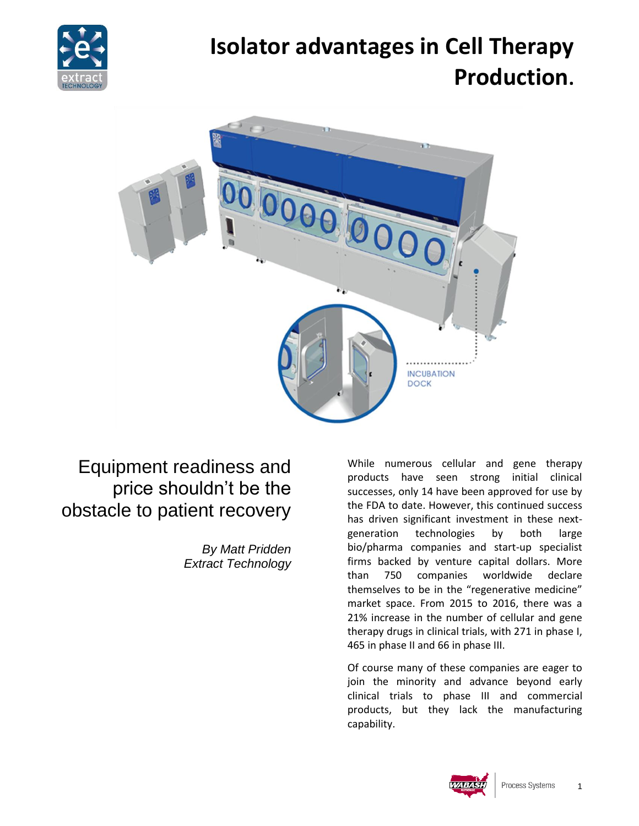

# **Isolator advantages in Cell Therapy Production.**



## Equipment readiness and price shouldn't be the obstacle to patient recovery

*By Matt Pridden Extract Technology* While numerous cellular and gene therapy products have seen strong initial clinical successes, only 14 have been approved for use by the FDA to date. However, this continued success has driven significant investment in these nextgeneration technologies by both large bio/pharma companies and start-up specialist firms backed by venture capital dollars. More than 750 companies worldwide declare themselves to be in the "regenerative medicine" market space. From 2015 to 2016, there was a 21% increase in the number of cellular and gene therapy drugs in clinical trials, with 271 in phase I, 465 in phase II and 66 in phase III.

Of course many of these companies are eager to join the minority and advance beyond early clinical trials to phase III and commercial products, but they lack the manufacturing capability.

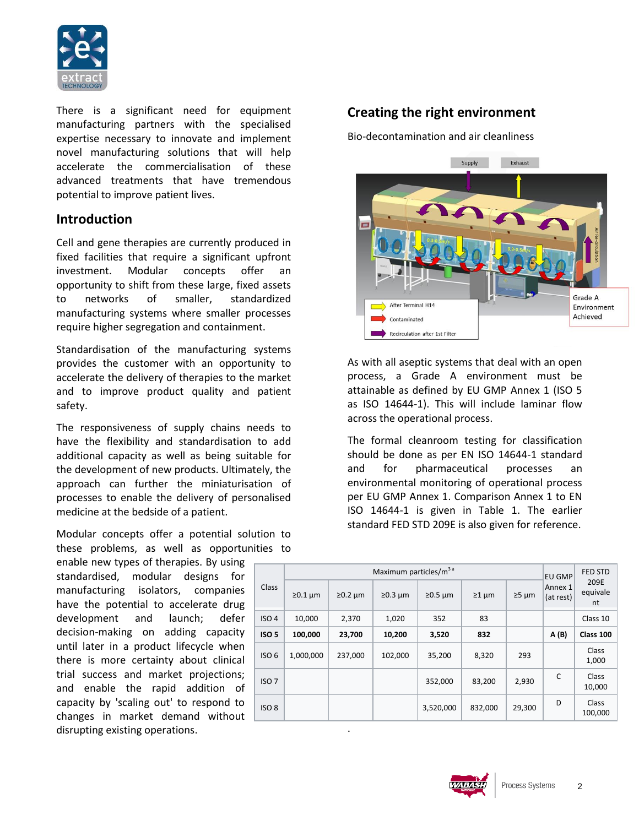

There is a significant need for equipment manufacturing partners with the specialised expertise necessary to innovate and implement novel manufacturing solutions that will help accelerate the commercialisation of these advanced treatments that have tremendous potential to improve patient lives.

## **Introduction**

Cell and gene therapies are currently produced in fixed facilities that require a significant upfront investment. Modular concepts offer an opportunity to shift from these large, fixed assets to networks of smaller, standardized manufacturing systems where smaller processes require higher segregation and containment.

Standardisation of the manufacturing systems provides the customer with an opportunity to accelerate the delivery of therapies to the market and to improve product quality and patient safety.

The responsiveness of supply chains needs to have the flexibility and standardisation to add additional capacity as well as being suitable for the development of new products. Ultimately, the approach can further the miniaturisation of processes to enable the delivery of personalised medicine at the bedside of a patient.

Modular concepts offer a potential solution to these problems, as well as opportunities to

enable new types of therapies. By using standardised, modular designs for manufacturing isolators, companies have the potential to accelerate drug development and launch; defer decision-making on adding capacity until later in a product lifecycle when there is more certainty about clinical trial success and market projections; and enable the rapid addition of capacity by 'scaling out' to respond to changes in market demand without disrupting existing operations.

## **Creating the right environment**

Bio-decontamination and air cleanliness



As with all aseptic systems that deal with an open process, a Grade A environment must be attainable as defined by EU GMP Annex 1 (ISO 5 as ISO 14644-1). This will include laminar flow across the operational process.

The formal cleanroom testing for classification should be done as per EN ISO 14644-1 standard and for pharmaceutical processes an environmental monitoring of operational process per EU GMP Annex 1. Comparison Annex 1 to EN ISO 14644-1 is given in Table 1. The earlier standard FED STD 209E is also given for reference.

| Class            | Maximum particles/m <sup>3</sup> <sup>a</sup> |               |               |               |             |                | <b>EU GMP</b>        | <b>FED STD</b>          |
|------------------|-----------------------------------------------|---------------|---------------|---------------|-------------|----------------|----------------------|-------------------------|
|                  | $\geq 0.1 \mu m$                              | $\geq 0.2$ um | $\geq 0.3$ um | $\geq 0.5$ µm | $\geq 1$ µm | $\geq 5 \mu m$ | Annex 1<br>(at rest) | 209E<br>equivale<br>nt  |
| ISO <sub>4</sub> | 10,000                                        | 2,370         | 1,020         | 352           | 83          |                |                      | Class 10                |
| ISO <sub>5</sub> | 100,000                                       | 23,700        | 10,200        | 3,520         | 832         |                | A(B)                 | Class 100               |
| ISO <sub>6</sub> | 1,000,000                                     | 237,000       | 102,000       | 35,200        | 8,320       | 293            |                      | Class<br>1,000          |
| ISO <sub>7</sub> |                                               |               |               | 352,000       | 83,200      | 2,930          | C                    | Class<br>10,000         |
| ISO <sub>8</sub> |                                               |               |               | 3,520,000     | 832,000     | 29,300         | D                    | <b>Class</b><br>100,000 |

.

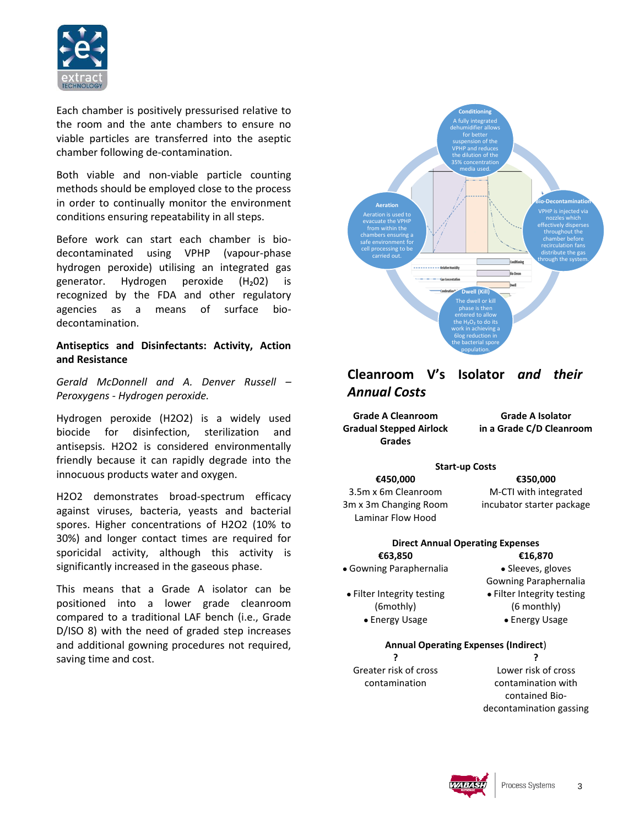

Each chamber is positively pressurised relative to the room and the ante chambers to ensure no viable particles are transferred into the aseptic chamber following de-contamination.

Both viable and non-viable particle counting methods should be employed close to the process in order to continually monitor the environment conditions ensuring repeatability in all steps.

Before work can start each chamber is biodecontaminated using VPHP (vapour-phase hydrogen peroxide) utilising an integrated gas generator. Hydrogen peroxide (H2O2) is recognized by the FDA and other regulatory agencies as a means of surface biodecontamination.

#### **Antiseptics and Disinfectants: Activity, Action and Resistance**

*Gerald McDonnell and A. Denver Russell – Peroxygens - Hydrogen peroxide.*

Hydrogen peroxide (H2O2) is a widely used biocide for disinfection, sterilization and antisepsis. H2O2 is considered environmentally friendly because it can rapidly degrade into the innocuous products water and oxygen.

H2O2 demonstrates broad-spectrum efficacy against viruses, bacteria, yeasts and bacterial spores. Higher concentrations of H2O2 (10% to 30%) and longer contact times are required for sporicidal activity, although this activity is significantly increased in the gaseous phase.

This means that a Grade A isolator can be positioned into a lower grade cleanroom compared to a traditional LAF bench (i.e., Grade D/ISO 8) with the need of graded step increases and additional gowning procedures not required, saving time and cost.



## **Cleanroom V's Isolator** *and their Annual Costs*

**Grade A Cleanroom Gradual Stepped Airlock Grades**

**Grade A Isolator in a Grade C/D Cleanroom** 

#### **Start-up Costs €450,000 €350,000**

3.5m x 6m Cleanroom 3m x 3m Changing Room Laminar Flow Hood

M-CTI with integrated incubator starter package

#### **Direct Annual Operating Expenses €63,850 €16,870**

• Gowning Paraphernalia • Sleeves, gloves

● Filter Integrity testing (6mothly)

Gowning Paraphernalia ● Filter Integrity testing (6 monthly)

● Energy Usage ● Energy Usage

### **Annual Operating Expenses (Indirect**) **? ?**

Greater risk of cross contamination

Lower risk of cross contamination with contained Biodecontamination gassing

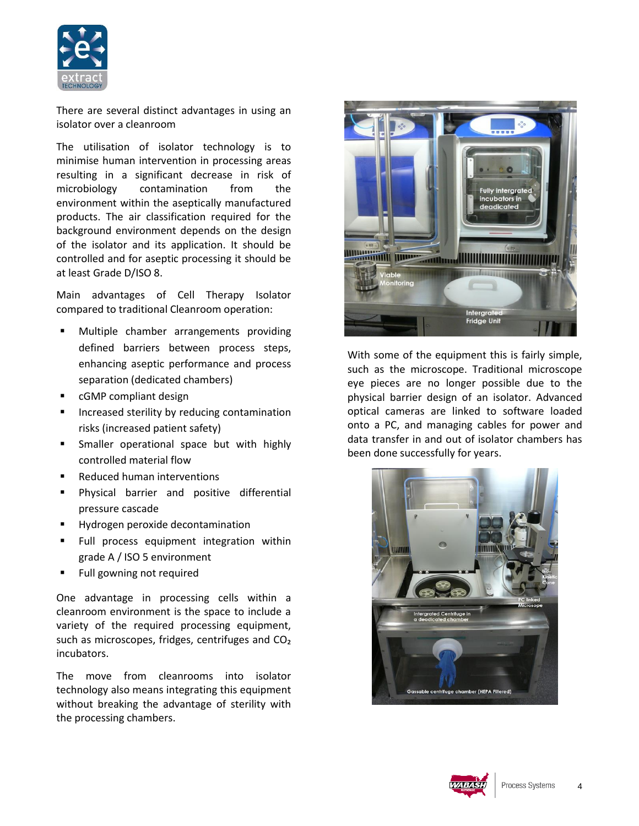

There are several distinct advantages in using an isolator over a cleanroom

The utilisation of isolator technology is to minimise human intervention in processing areas resulting in a significant decrease in risk of microbiology contamination from the environment within the aseptically manufactured products. The air classification required for the background environment depends on the design of the isolator and its application. It should be controlled and for aseptic processing it should be at least Grade D/ISO 8.

Main advantages of Cell Therapy Isolator compared to traditional Cleanroom operation:

- Multiple chamber arrangements providing defined barriers between process steps, enhancing aseptic performance and process separation (dedicated chambers)
- cGMP compliant design
- Increased sterility by reducing contamination risks (increased patient safety)
- Smaller operational space but with highly controlled material flow
- Reduced human interventions
- **Physical barrier and positive differential** pressure cascade
- Hydrogen peroxide decontamination
- **Full process equipment integration within** grade A / ISO 5 environment
- Full gowning not required

One advantage in processing cells within a cleanroom environment is the space to include a variety of the required processing equipment, such as microscopes, fridges, centrifuges and CO<sub>2</sub> incubators.

The move from cleanrooms into isolator technology also means integrating this equipment without breaking the advantage of sterility with the processing chambers.



With some of the equipment this is fairly simple, such as the microscope. Traditional microscope eye pieces are no longer possible due to the physical barrier design of an isolator. Advanced optical cameras are linked to software loaded onto a PC, and managing cables for power and data transfer in and out of isolator chambers has been done successfully for years.



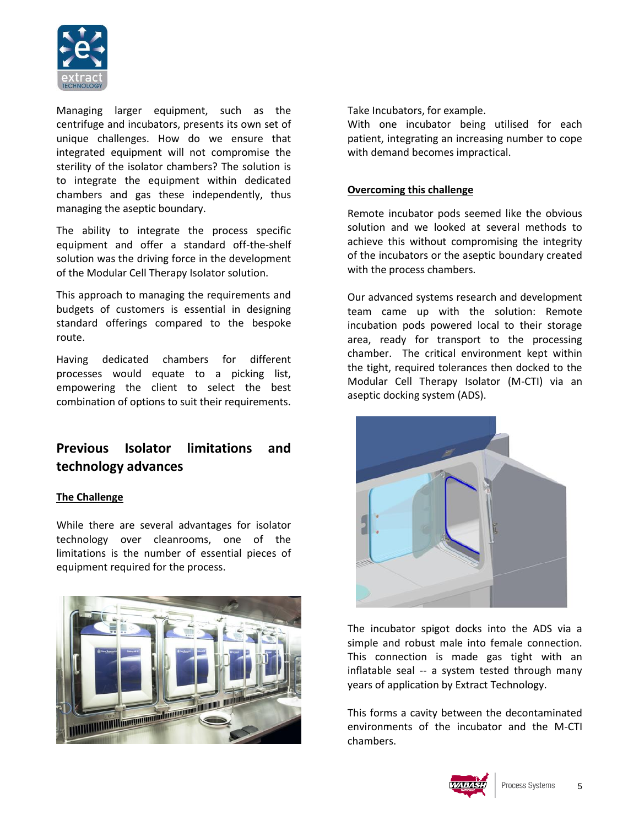

Managing larger equipment, such as the centrifuge and incubators, presents its own set of unique challenges. How do we ensure that integrated equipment will not compromise the sterility of the isolator chambers? The solution is to integrate the equipment within dedicated chambers and gas these independently, thus managing the aseptic boundary.

The ability to integrate the process specific equipment and offer a standard off-the-shelf solution was the driving force in the development of the Modular Cell Therapy Isolator solution.

This approach to managing the requirements and budgets of customers is essential in designing standard offerings compared to the bespoke route.

Having dedicated chambers for different processes would equate to a picking list, empowering the client to select the best combination of options to suit their requirements.

## **Previous Isolator limitations and technology advances**

#### **The Challenge**

While there are several advantages for isolator technology over cleanrooms, one of the limitations is the number of essential pieces of equipment required for the process.



Take Incubators, for example.

With one incubator being utilised for each patient, integrating an increasing number to cope with demand becomes impractical.

#### **Overcoming this challenge**

Remote incubator pods seemed like the obvious solution and we looked at several methods to achieve this without compromising the integrity of the incubators or the aseptic boundary created with the process chambers.

Our advanced systems research and development team came up with the solution: Remote incubation pods powered local to their storage area, ready for transport to the processing chamber. The critical environment kept within the tight, required tolerances then docked to the Modular Cell Therapy Isolator (M-CTI) via an aseptic docking system (ADS).



The incubator spigot docks into the ADS via a simple and robust male into female connection. This connection is made gas tight with an inflatable seal -- a system tested through many years of application by Extract Technology.

This forms a cavity between the decontaminated environments of the incubator and the M-CTI chambers.